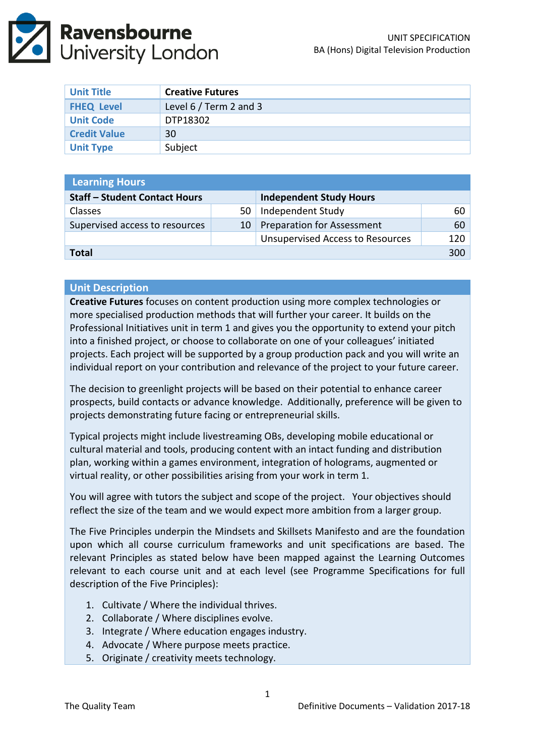

| <b>Unit Title</b>   | <b>Creative Futures</b> |
|---------------------|-------------------------|
| <b>FHEQ Level</b>   | Level 6 / Term 2 and 3  |
| <b>Unit Code</b>    | DTP18302                |
| <b>Credit Value</b> | 30                      |
| <b>Unit Type</b>    | Subject                 |

| <b>Learning Hours</b>                |    |                                         |     |  |  |
|--------------------------------------|----|-----------------------------------------|-----|--|--|
| <b>Staff - Student Contact Hours</b> |    | <b>Independent Study Hours</b>          |     |  |  |
| <b>Classes</b>                       | 50 | Independent Study                       | 60  |  |  |
| Supervised access to resources       | 10 | <b>Preparation for Assessment</b>       | 60  |  |  |
|                                      |    | <b>Unsupervised Access to Resources</b> | 120 |  |  |
| <b>Total</b>                         |    |                                         |     |  |  |

#### **Unit Description**

**Creative Futures** focuses on content production using more complex technologies or more specialised production methods that will further your career. It builds on the Professional Initiatives unit in term 1 and gives you the opportunity to extend your pitch into a finished project, or choose to collaborate on one of your colleagues' initiated projects. Each project will be supported by a group production pack and you will write an individual report on your contribution and relevance of the project to your future career.

The decision to greenlight projects will be based on their potential to enhance career prospects, build contacts or advance knowledge. Additionally, preference will be given to projects demonstrating future facing or entrepreneurial skills.

Typical projects might include livestreaming OBs, developing mobile educational or cultural material and tools, producing content with an intact funding and distribution plan, working within a games environment, integration of holograms, augmented or virtual reality, or other possibilities arising from your work in term 1.

You will agree with tutors the subject and scope of the project. Your objectives should reflect the size of the team and we would expect more ambition from a larger group.

The Five Principles underpin the Mindsets and Skillsets Manifesto and are the foundation upon which all course curriculum frameworks and unit specifications are based. The relevant Principles as stated below have been mapped against the Learning Outcomes relevant to each course unit and at each level (see Programme Specifications for full description of the Five Principles):

- 1. Cultivate / Where the individual thrives.
- 2. Collaborate / Where disciplines evolve.
- 3. Integrate / Where education engages industry.
- 4. Advocate / Where purpose meets practice.
- 5. Originate / creativity meets technology.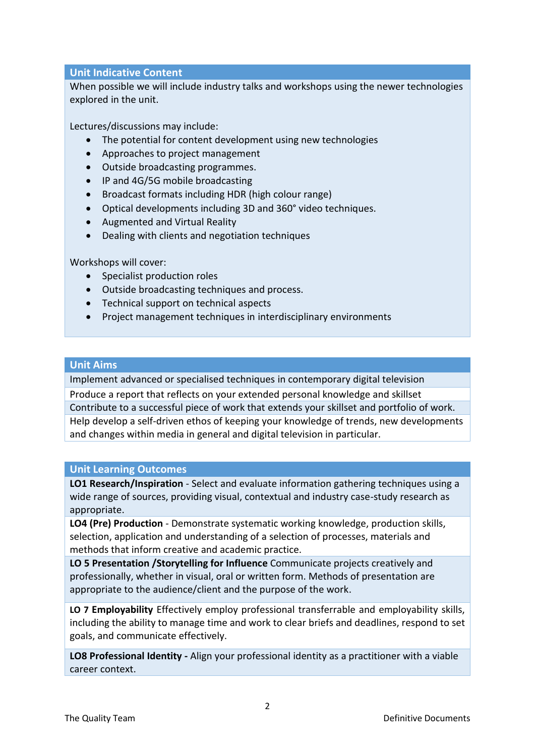# **Unit Indicative Content**

When possible we will include industry talks and workshops using the newer technologies explored in the unit.

Lectures/discussions may include:

- The potential for content development using new technologies
- Approaches to project management
- Outside broadcasting programmes.
- IP and 4G/5G mobile broadcasting
- Broadcast formats including HDR (high colour range)
- Optical developments including 3D and 360° video techniques.
- Augmented and Virtual Reality
- Dealing with clients and negotiation techniques

Workshops will cover:

- Specialist production roles
- Outside broadcasting techniques and process.
- Technical support on technical aspects
- Project management techniques in interdisciplinary environments

## **Unit Aims**

Implement advanced or specialised techniques in contemporary digital television

Produce a report that reflects on your extended personal knowledge and skillset Contribute to a successful piece of work that extends your skillset and portfolio of work. Help develop a self-driven ethos of keeping your knowledge of trends, new developments and changes within media in general and digital television in particular.

# **Unit Learning Outcomes**

**LO1 Research/Inspiration** - Select and evaluate information gathering techniques using a wide range of sources, providing visual, contextual and industry case-study research as appropriate.

**LO4 (Pre) Production** - Demonstrate systematic working knowledge, production skills, selection, application and understanding of a selection of processes, materials and methods that inform creative and academic practice.

**LO 5 Presentation /Storytelling for Influence** Communicate projects creatively and professionally, whether in visual, oral or written form. Methods of presentation are appropriate to the audience/client and the purpose of the work.

**LO 7 Employability** Effectively employ professional transferrable and employability skills, including the ability to manage time and work to clear briefs and deadlines, respond to set goals, and communicate effectively.

**LO8 Professional Identity -** Align your professional identity as a practitioner with a viable career context.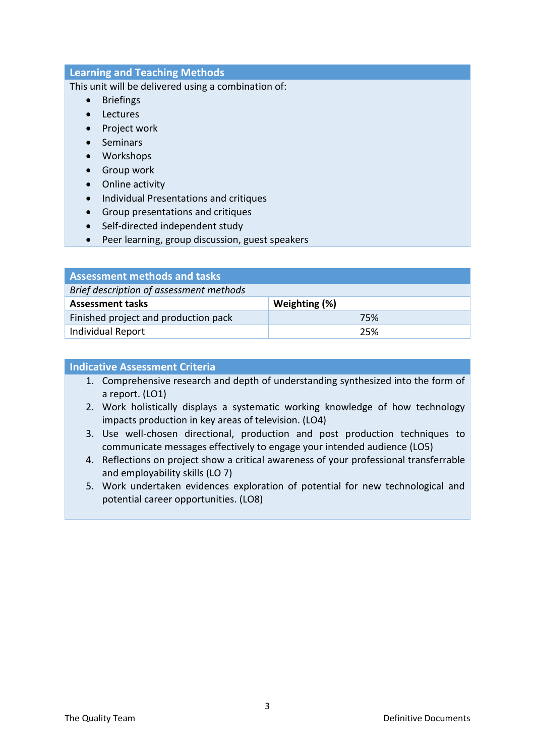## **Learning and Teaching Methods**

This unit will be delivered using a combination of:

- Briefings
- Lectures
- Project work
- Seminars
- Workshops
- Group work
- Online activity
- **•** Individual Presentations and critiques
- Group presentations and critiques
- Self-directed independent study
- Peer learning, group discussion, guest speakers

| <b>Assessment methods and tasks</b>     |               |  |  |
|-----------------------------------------|---------------|--|--|
| Brief description of assessment methods |               |  |  |
| <b>Assessment tasks</b>                 | Weighting (%) |  |  |
| Finished project and production pack    | 75%           |  |  |
| <b>Individual Report</b>                | 25%           |  |  |

#### **Indicative Assessment Criteria**

- 1. Comprehensive research and depth of understanding synthesized into the form of a report. (LO1)
- 2. Work holistically displays a systematic working knowledge of how technology impacts production in key areas of television. (LO4)
- 3. Use well-chosen directional, production and post production techniques to communicate messages effectively to engage your intended audience (LO5)
- 4. Reflections on project show a critical awareness of your professional transferrable and employability skills (LO 7)
- 5. Work undertaken evidences exploration of potential for new technological and potential career opportunities. (LO8)